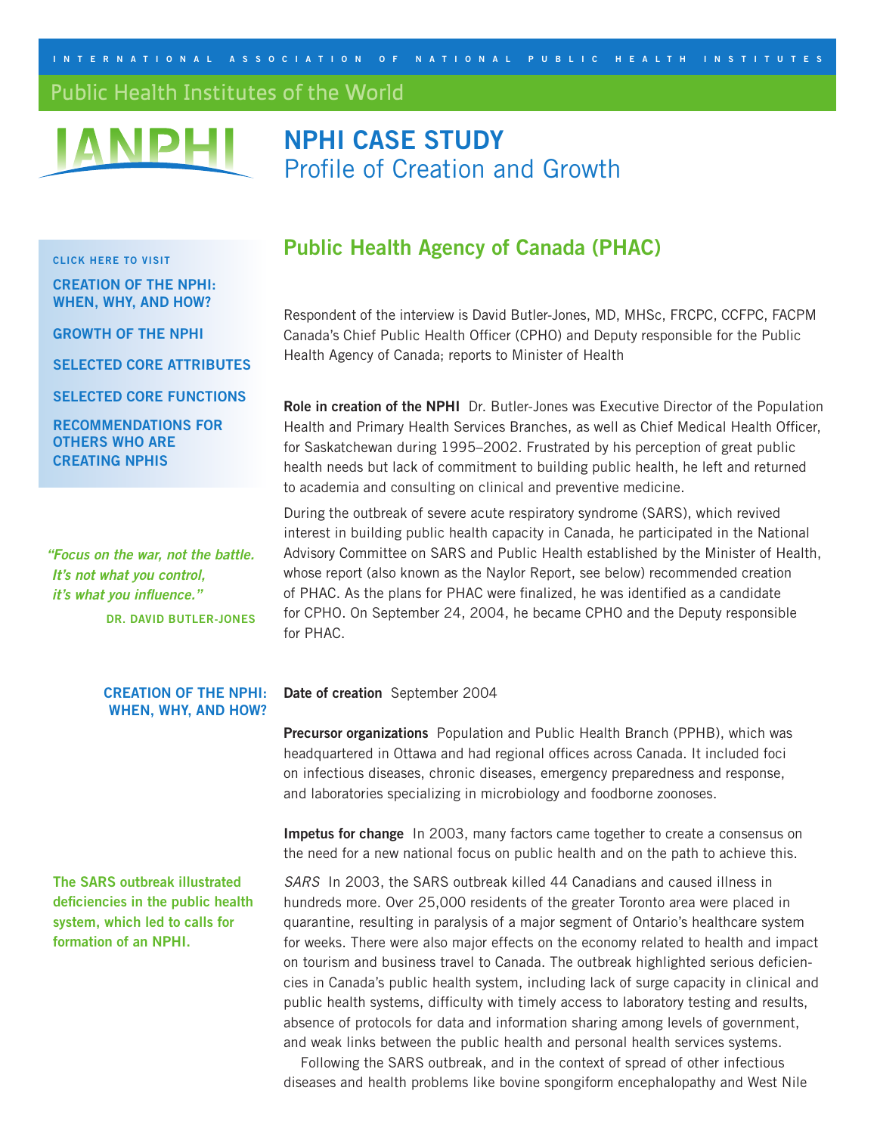<span id="page-0-0"></span>**I N T E R N A T I ONAL A SSOC I A T I O N O F N A T I O N A L P U B L I C H E A L T H I N S T I TUTES**

### Public Health Institutes of the World



# **NPHI CASE STUDY** Profile of Creation and Growth

### **CLICK HERE TO VISIT**

**[CREATION OF THE NPHI:](#page-0-0)  WHEN, WHY, AND HOW?**

**[GROWTH OF THE NPHI](#page-3-0)**

**[SELECTED CORE ATTRIBUTES](#page-4-0)**

**[SELECTED CORE FUNCTIONS](#page-4-0)**

**[RECOMMENDATIONS FOR](#page-4-0)  OTHERS WHO ARE CREATING NPHIS**

**"Focus on the war, not the battle. It's not what you control, it's what you influence." DR. DAVID BUTLER-JONES**

### **CREATION OF THE NPHI: WHEN, WHY, AND HOW?**

**The SARS outbreak illustrated deficiencies in the public health system, which led to calls for formation of an NPHI.**

## **Public Health Agency of Canada (PHAC)**

Respondent of the interview is David Butler-Jones, MD, MHSc, FRCPC, CCFPC, FACPM Canada's Chief Public Health Officer (CPHO) and Deputy responsible for the Public Health Agency of Canada; reports to Minister of Health

**Role in creation of the NPHI** Dr. Butler-Jones was Executive Director of the Population Health and Primary Health Services Branches, as well as Chief Medical Health Officer, for Saskatchewan during 1995–2002. Frustrated by his perception of great public health needs but lack of commitment to building public health, he left and returned to academia and consulting on clinical and preventive medicine.

During the outbreak of severe acute respiratory syndrome (SARS), which revived interest in building public health capacity in Canada, he participated in the National Advisory Committee on SARS and Public Health established by the Minister of Health, whose report (also known as the Naylor Report, see below) recommended creation of PHAC. As the plans for PHAC were finalized, he was identified as a candidate for CPHO. On September 24, 2004, he became CPHO and the Deputy responsible for PHAC.

**Date of creation** September 2004

**Precursor organizations** Population and Public Health Branch (PPHB), which was headquartered in Ottawa and had regional offices across Canada. It included foci on infectious diseases, chronic diseases, emergency preparedness and response, and laboratories specializing in microbiology and foodborne zoonoses.

**Impetus for change** In 2003, many factors came together to create a consensus on the need for a new national focus on public health and on the path to achieve this.

SARS In 2003, the SARS outbreak killed 44 Canadians and caused illness in hundreds more. Over 25,000 residents of the greater Toronto area were placed in quarantine, resulting in paralysis of a major segment of Ontario's healthcare system for weeks. There were also major effects on the economy related to health and impact on tourism and business travel to Canada. The outbreak highlighted serious deficiencies in Canada's public health system, including lack of surge capacity in clinical and public health systems, difficulty with timely access to laboratory testing and results, absence of protocols for data and information sharing among levels of government, and weak links between the public health and personal health services systems.

Following the SARS outbreak, and in the context of spread of other infectious diseases and health problems like bovine spongiform encephalopathy and West Nile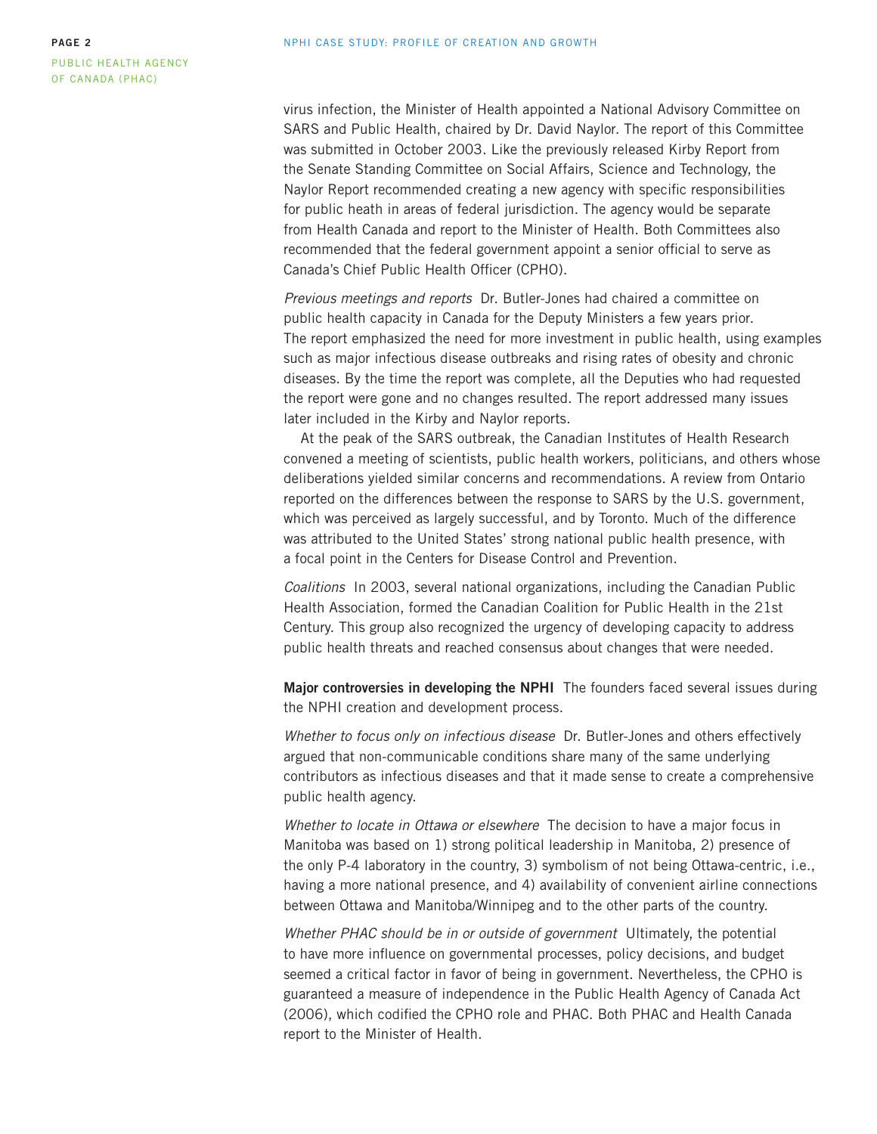virus infection, the Minister of Health appointed a National Advisory Committee on SARS and Public Health, chaired by Dr. David Naylor. The report of this Committee was submitted in October 2003. Like the previously released Kirby Report from the Senate Standing Committee on Social Affairs, Science and Technology, the Naylor Report recommended creating a new agency with specific responsibilities for public heath in areas of federal jurisdiction. The agency would be separate from Health Canada and report to the Minister of Health. Both Committees also recommended that the federal government appoint a senior official to serve as Canada's Chief Public Health Officer (CPHO).

Previous meetings and reports Dr. Butler-Jones had chaired a committee on public health capacity in Canada for the Deputy Ministers a few years prior. The report emphasized the need for more investment in public health, using examples such as major infectious disease outbreaks and rising rates of obesity and chronic diseases. By the time the report was complete, all the Deputies who had requested the report were gone and no changes resulted. The report addressed many issues later included in the Kirby and Naylor reports.

At the peak of the SARS outbreak, the Canadian Institutes of Health Research convened a meeting of scientists, public health workers, politicians, and others whose deliberations yielded similar concerns and recommendations. A review from Ontario reported on the differences between the response to SARS by the U.S. government, which was perceived as largely successful, and by Toronto. Much of the difference was attributed to the United States' strong national public health presence, with a focal point in the Centers for Disease Control and Prevention.

Coalitions In 2003, several national organizations, including the Canadian Public Health Association, formed the Canadian Coalition for Public Health in the 21st Century. This group also recognized the urgency of developing capacity to address public health threats and reached consensus about changes that were needed.

**Major controversies in developing the NPHI** The founders faced several issues during the NPHI creation and development process.

Whether to focus only on infectious disease Dr. Butler-Jones and others effectively argued that non-communicable conditions share many of the same underlying contributors as infectious diseases and that it made sense to create a comprehensive public health agency.

Whether to locate in Ottawa or elsewhere The decision to have a major focus in Manitoba was based on 1) strong political leadership in Manitoba, 2) presence of the only P-4 laboratory in the country, 3) symbolism of not being Ottawa-centric, i.e., having a more national presence, and 4) availability of convenient airline connections between Ottawa and Manitoba/Winnipeg and to the other parts of the country.

Whether PHAC should be in or outside of government Ultimately, the potential to have more influence on governmental processes, policy decisions, and budget seemed a critical factor in favor of being in government. Nevertheless, the CPHO is guaranteed a measure of independence in the Public Health Agency of Canada Act (2006), which codified the CPHO role and PHAC. Both PHAC and Health Canada report to the Minister of Health.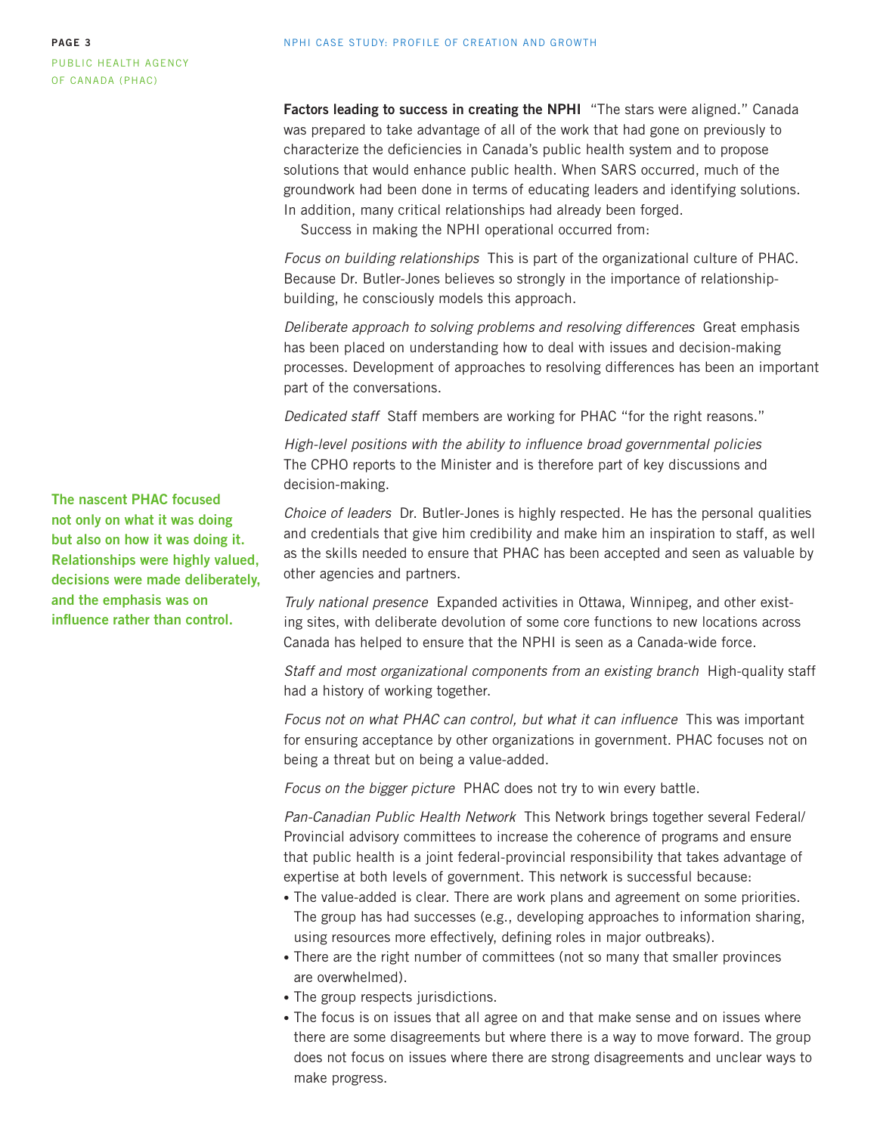**Factors leading to success in creating the NPHI** "The stars were aligned." Canada was prepared to take advantage of all of the work that had gone on previously to characterize the deficiencies in Canada's public health system and to propose solutions that would enhance public health. When SARS occurred, much of the groundwork had been done in terms of educating leaders and identifying solutions. In addition, many critical relationships had already been forged.

Success in making the NPHI operational occurred from:

Focus on building relationships This is part of the organizational culture of PHAC. Because Dr. Butler-Jones believes so strongly in the importance of relationshipbuilding, he consciously models this approach.

Deliberate approach to solving problems and resolving differences Great emphasis has been placed on understanding how to deal with issues and decision-making processes. Development of approaches to resolving differences has been an important part of the conversations.

Dedicated staff Staff members are working for PHAC "for the right reasons."

High-level positions with the ability to influence broad governmental policies The CPHO reports to the Minister and is therefore part of key discussions and decision-making.

Choice of leaders Dr. Butler-Jones is highly respected. He has the personal qualities and credentials that give him credibility and make him an inspiration to staff, as well as the skills needed to ensure that PHAC has been accepted and seen as valuable by other agencies and partners.

Truly national presence Expanded activities in Ottawa, Winnipeg, and other existing sites, with deliberate devolution of some core functions to new locations across Canada has helped to ensure that the NPHI is seen as a Canada-wide force.

Staff and most organizational components from an existing branch High-quality staff had a history of working together.

Focus not on what PHAC can control, but what it can influence This was important for ensuring acceptance by other organizations in government. PHAC focuses not on being a threat but on being a value-added.

Focus on the bigger picture PHAC does not try to win every battle.

Pan-Canadian Public Health Network This Network brings together several Federal/ Provincial advisory committees to increase the coherence of programs and ensure that public health is a joint federal-provincial responsibility that takes advantage of expertise at both levels of government. This network is successful because:

- The value-added is clear. There are work plans and agreement on some priorities. The group has had successes (e.g., developing approaches to information sharing, using resources more effectively, defining roles in major outbreaks).
- There are the right number of committees (not so many that smaller provinces are overwhelmed).
- The group respects jurisdictions.
- The focus is on issues that all agree on and that make sense and on issues where there are some disagreements but where there is a way to move forward. The group does not focus on issues where there are strong disagreements and unclear ways to make progress.

**The nascent PHAC focused not only on what it was doing but also on how it was doing it. Relationships were highly valued, decisions were made deliberately, and the emphasis was on influence rather than control.**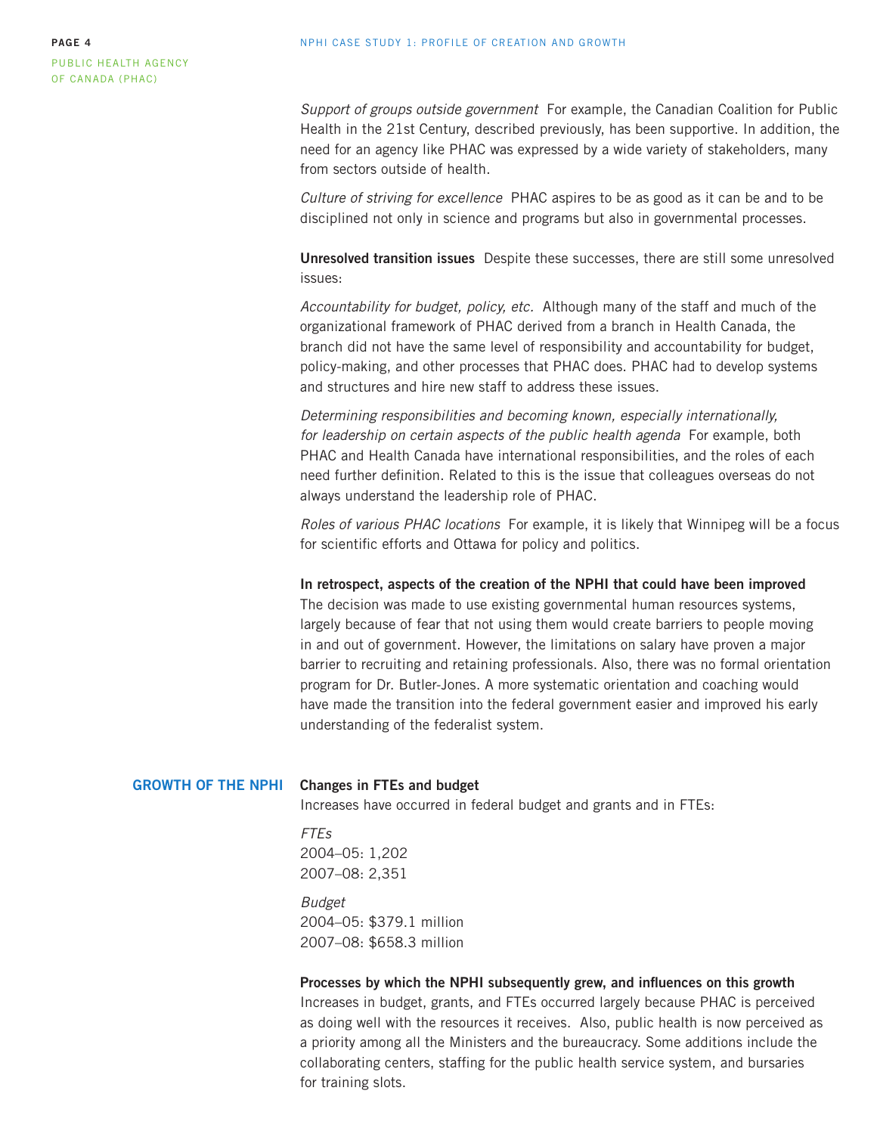<span id="page-3-0"></span>Support of groups outside government For example, the Canadian Coalition for Public Health in the 21st Century, described previously, has been supportive. In addition, the need for an agency like PHAC was expressed by a wide variety of stakeholders, many from sectors outside of health.

Culture of striving for excellence PHAC aspires to be as good as it can be and to be disciplined not only in science and programs but also in governmental processes.

**Unresolved transition issues** Despite these successes, there are still some unresolved issues:

Accountability for budget, policy, etc. Although many of the staff and much of the organizational framework of PHAC derived from a branch in Health Canada, the branch did not have the same level of responsibility and accountability for budget, policy-making, and other processes that PHAC does. PHAC had to develop systems and structures and hire new staff to address these issues.

Determining responsibilities and becoming known, especially internationally, for leadership on certain aspects of the public health agenda For example, both PHAC and Health Canada have international responsibilities, and the roles of each need further definition. Related to this is the issue that colleagues overseas do not always understand the leadership role of PHAC.

Roles of various PHAC locations For example, it is likely that Winnipeg will be a focus for scientific efforts and Ottawa for policy and politics.

**In retrospect, aspects of the creation of the NPHI that could have been improved** 

The decision was made to use existing governmental human resources systems, largely because of fear that not using them would create barriers to people moving in and out of government. However, the limitations on salary have proven a major barrier to recruiting and retaining professionals. Also, there was no formal orientation program for Dr. Butler-Jones. A more systematic orientation and coaching would have made the transition into the federal government easier and improved his early understanding of the federalist system.

#### **GROWTH OF THE NPHI Changes in FTEs and budget**

Increases have occurred in federal budget and grants and in FTEs:

FTEs 2004–05: 1,202 2007–08: 2,351

Budget 2004–05: \$379.1 million 2007–08: \$658.3 million

**Processes by which the NPHI subsequently grew, and influences on this growth**  Increases in budget, grants, and FTEs occurred largely because PHAC is perceived as doing well with the resources it receives. Also, public health is now perceived as a priority among all the Ministers and the bureaucracy. Some additions include the collaborating centers, staffing for the public health service system, and bursaries for training slots.